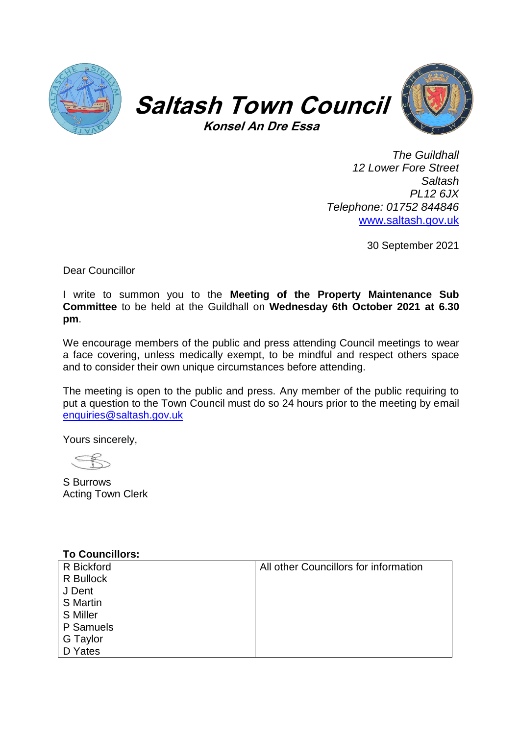





*The Guildhall 12 Lower Fore Street Saltash PL12 6JX Telephone: 01752 844846* [www.saltash.gov.uk](http://www.saltash.gov.uk/)

30 September 2021

Dear Councillor

I write to summon you to the **Meeting of the Property Maintenance Sub Committee** to be held at the Guildhall on **Wednesday 6th October 2021 at 6.30 pm**.

We encourage members of the public and press attending Council meetings to wear a face covering, unless medically exempt, to be mindful and respect others space and to consider their own unique circumstances before attending.

The meeting is open to the public and press. Any member of the public requiring to put a question to the Town Council must do so 24 hours prior to the meeting by email [enquiries@saltash.gov.uk](mailto:enquiries@saltash.gov.uk)

Yours sincerely,

S Burrows Acting Town Clerk

## **To Councillors:**

| R Bickford      | All other Councillors for information |
|-----------------|---------------------------------------|
| R Bullock       |                                       |
| J Dent          |                                       |
| <b>S</b> Martin |                                       |
| <b>S</b> Miller |                                       |
| P Samuels       |                                       |
| G Taylor        |                                       |
| D Yates         |                                       |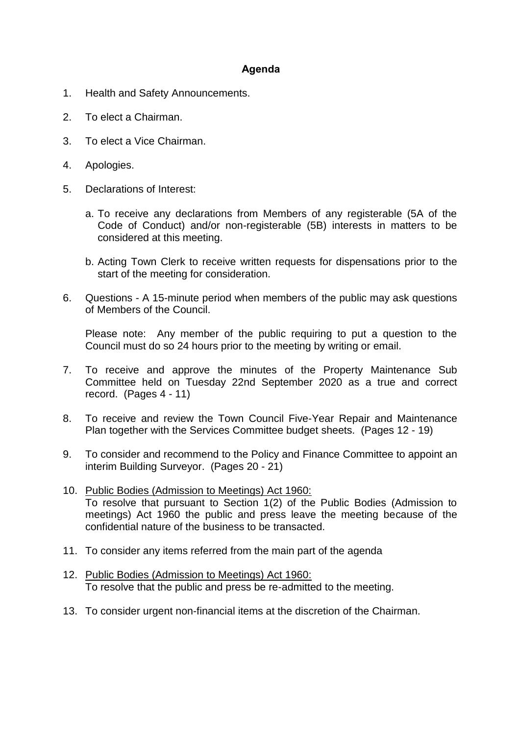## **Agenda**

- 1. Health and Safety Announcements.
- 2. To elect a Chairman.
- 3. To elect a Vice Chairman.
- 4. Apologies.
- 5. Declarations of Interest:
	- a. To receive any declarations from Members of any registerable (5A of the Code of Conduct) and/or non-registerable (5B) interests in matters to be considered at this meeting.
	- b. Acting Town Clerk to receive written requests for dispensations prior to the start of the meeting for consideration.
- 6. Questions A 15-minute period when members of the public may ask questions of Members of the Council.

Please note: Any member of the public requiring to put a question to the Council must do so 24 hours prior to the meeting by writing or email.

- 7. To receive and approve the minutes of the Property Maintenance Sub Committee held on Tuesday 22nd September 2020 as a true and correct record. (Pages 4 - 11)
- 8. To receive and review the Town Council Five-Year Repair and Maintenance Plan together with the Services Committee budget sheets. (Pages 12 - 19)
- 9. To consider and recommend to the Policy and Finance Committee to appoint an interim Building Surveyor. (Pages 20 - 21)
- 10. Public Bodies (Admission to Meetings) Act 1960: To resolve that pursuant to Section 1(2) of the Public Bodies (Admission to meetings) Act 1960 the public and press leave the meeting because of the confidential nature of the business to be transacted.
- 11. To consider any items referred from the main part of the agenda
- 12. Public Bodies (Admission to Meetings) Act 1960: To resolve that the public and press be re-admitted to the meeting.
- 13. To consider urgent non-financial items at the discretion of the Chairman.